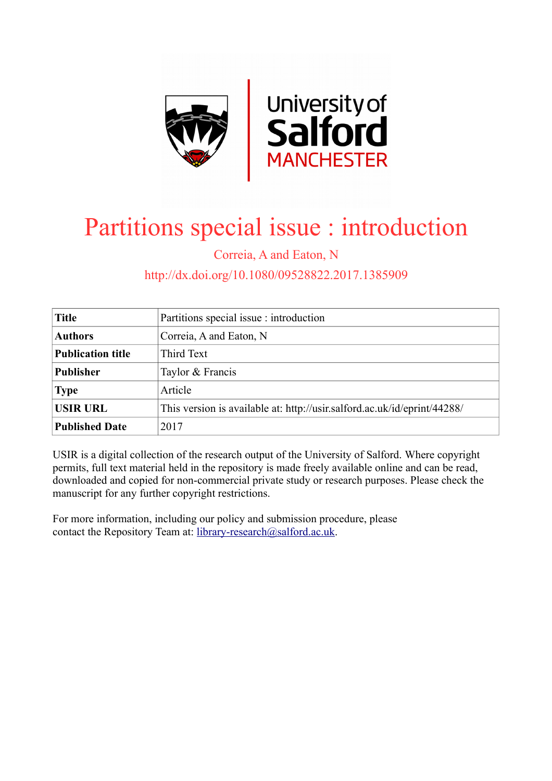

# Partitions special issue : introduction

Correia, A and Eaton, N

# http://dx.doi.org/10.1080/09528822.2017.1385909

| <b>Title</b>             | Partitions special issue : introduction                                  |
|--------------------------|--------------------------------------------------------------------------|
| <b>Authors</b>           | Correia, A and Eaton, N                                                  |
| <b>Publication title</b> | Third Text                                                               |
| <b>Publisher</b>         | Taylor & Francis                                                         |
| <b>Type</b>              | Article                                                                  |
| <b>USIR URL</b>          | This version is available at: http://usir.salford.ac.uk/id/eprint/44288/ |
| <b>Published Date</b>    | 2017                                                                     |

USIR is a digital collection of the research output of the University of Salford. Where copyright permits, full text material held in the repository is made freely available online and can be read, downloaded and copied for non-commercial private study or research purposes. Please check the manuscript for any further copyright restrictions.

For more information, including our policy and submission procedure, please contact the Repository Team at: [library-research@salford.ac.uk.](mailto:library-research@salford.ac.uk)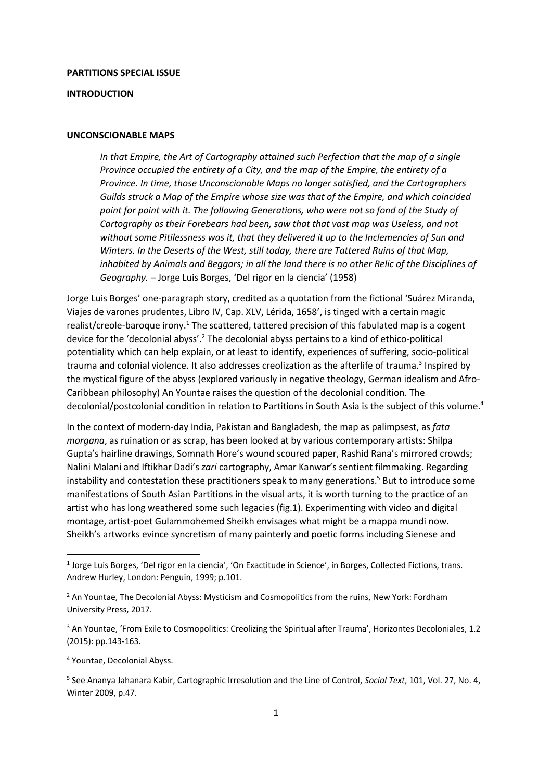#### **PARTITIONS SPECIAL ISSUE**

#### **INTRODUCTION**

#### **UNCONSCIONABLE MAPS**

*In that Empire, the Art of Cartography attained such Perfection that the map of a single Province occupied the entirety of a City, and the map of the Empire, the entirety of a Province. In time, those Unconscionable Maps no longer satisfied, and the Cartographers Guilds struck a Map of the Empire whose size was that of the Empire, and which coincided point for point with it. The following Generations, who were not so fond of the Study of Cartography as their Forebears had been, saw that that vast map was Useless, and not without some Pitilessness was it, that they delivered it up to the Inclemencies of Sun and Winters. In the Deserts of the West, still today, there are Tattered Ruins of that Map, inhabited by Animals and Beggars; in all the land there is no other Relic of the Disciplines of Geography. –* Jorge Luis Borges, 'Del rigor en la ciencia' (1958)

Jorge Luis Borges' one-paragraph story, credited as a quotation from the fictional 'Suárez Miranda, Viajes de varones prudentes, Libro IV, Cap. XLV, Lérida, 1658', is tinged with a certain magic realist/creole-baroque irony.<sup>1</sup> The scattered, tattered precision of this fabulated map is a cogent device for the 'decolonial abyss'.<sup>2</sup> The decolonial abyss pertains to a kind of ethico-political potentiality which can help explain, or at least to identify, experiences of suffering, socio-political trauma and colonial violence. It also addresses creolization as the afterlife of trauma.<sup>3</sup> Inspired by the mystical figure of the abyss (explored variously in negative theology, German idealism and Afro-Caribbean philosophy) An Yountae raises the question of the decolonial condition. The decolonial/postcolonial condition in relation to Partitions in South Asia is the subject of this volume.<sup>4</sup>

In the context of modern-day India, Pakistan and Bangladesh, the map as palimpsest, as *fata morgana*, as ruination or as scrap, has been looked at by various contemporary artists: Shilpa Gupta's hairline drawings, Somnath Hore's wound scoured paper, Rashid Rana's mirrored crowds; Nalini Malani and Iftikhar Dadi's *zari* cartography, Amar Kanwar's sentient filmmaking. Regarding instability and contestation these practitioners speak to many generations. <sup>5</sup> But to introduce some manifestations of South Asian Partitions in the visual arts, it is worth turning to the practice of an artist who has long weathered some such legacies (fig.1). Experimenting with video and digital montage, artist-poet Gulammohemed Sheikh envisages what might be a mappa mundi now. Sheikh's artworks evince syncretism of many painterly and poetic forms including Sienese and

<sup>4</sup> Yountae, Decolonial Abyss.

<sup>&</sup>lt;sup>1</sup> Jorge Luis Borges, 'Del rigor en la ciencia', 'On Exactitude in Science', in Borges, Collected Fictions, trans. Andrew Hurley, London: Penguin, 1999; p.101.

<sup>&</sup>lt;sup>2</sup> An Yountae, The Decolonial Abyss: Mysticism and Cosmopolitics from the ruins, New York: Fordham University Press, 2017.

<sup>&</sup>lt;sup>3</sup> An Yountae, 'From Exile to Cosmopolitics: Creolizing the Spiritual after Trauma', Horizontes Decoloniales, 1.2 (2015): pp.143-163.

<sup>5</sup> See Ananya Jahanara Kabir, Cartographic Irresolution and the Line of Control, *Social Text*, 101, Vol. 27, No. 4, Winter 2009, p.47.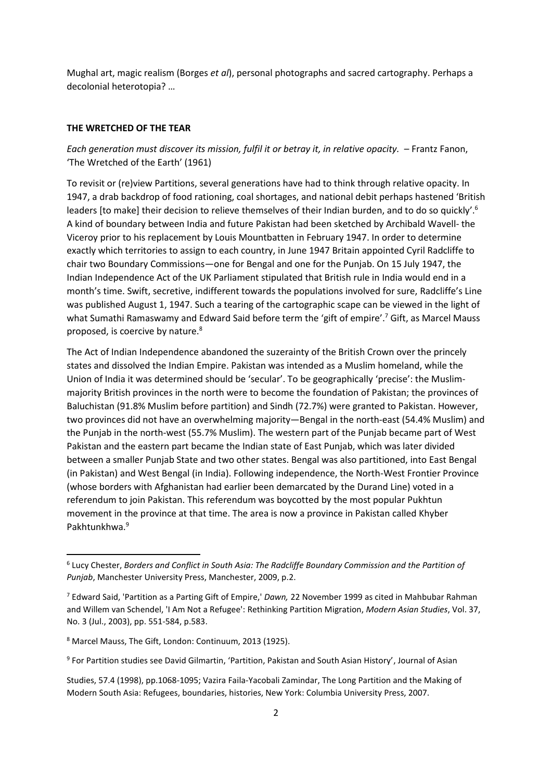Mughal art, magic realism (Borges *et al*), personal photographs and sacred cartography. Perhaps a decolonial heterotopia? …

#### **THE WRETCHED OF THE TEAR**

## *Each generation must discover its mission, fulfil it or betray it, in relative opacity. – Frantz Fanon,* 'The Wretched of the Earth' (1961)

To revisit or (re)view Partitions, several generations have had to think through relative opacity. In 1947, a drab backdrop of food rationing, coal shortages, and national debit perhaps hastened 'British leaders [to make] their decision to relieve themselves of their Indian burden, and to do so quickly'.<sup>6</sup> A kind of boundary between India and future Pakistan had been sketched by Archibald Wavell- the Viceroy prior to his replacement by Louis Mountbatten in February 1947. In order to determine exactly which territories to assign to each country, in June 1947 Britain appointed Cyril Radcliffe to chair two Boundary Commissions—one for Bengal and one for the Punjab. On 15 July 1947, the Indian Independence Act of the UK Parliament stipulated that British rule in India would end in a month's time. Swift, secretive, indifferent towards the populations involved for sure, Radcliffe's Line was published August 1, 1947. Such a tearing of the cartographic scape can be viewed in the light of what Sumathi Ramaswamy and Edward Said before term the 'gift of empire'.<sup>7</sup> Gift, as Marcel Mauss proposed, is coercive by nature.<sup>8</sup>

The Act of Indian Independence abandoned the suzerainty of the British Crown over the princely states and dissolved the Indian Empire. Pakistan was intended as a Muslim homeland, while the Union of India it was determined should be 'secular'. To be geographically 'precise': the Muslimmajority British provinces in the north were to become the foundation of Pakistan; the provinces of Baluchistan (91.8% Muslim before partition) and Sindh (72.7%) were granted to Pakistan. However, two provinces did not have an overwhelming majority—Bengal in the north-east (54.4% Muslim) and the Punjab in the north-west (55.7% Muslim). The western part of the Punjab became part of West Pakistan and the eastern part became the Indian state of East Punjab, which was later divided between a smaller Punjab State and two other states. Bengal was also partitioned, into East Bengal (in Pakistan) and West Bengal (in India). Following independence, the North-West Frontier Province (whose borders with Afghanistan had earlier been demarcated by the Durand Line) voted in a referendum to join Pakistan. This referendum was boycotted by the most popular Pukhtun movement in the province at that time. The area is now a province in Pakistan called Khyber Pakhtunkhwa.<sup>9</sup>

<sup>6</sup> Lucy Chester, *Borders and Conflict in South Asia: The Radcliffe Boundary Commission and the Partition of Punjab*, Manchester University Press, Manchester, 2009, p.2.

<sup>7</sup> Edward Said, 'Partition as a Parting Gift of Empire,' *Dawn,* 22 November 1999 as cited in Mahbubar Rahman and Willem van Schendel, 'I Am Not a Refugee': Rethinking Partition Migration, *Modern Asian Studies*, Vol. 37, No. 3 (Jul., 2003), pp. 551-584, p.583.

<sup>8</sup> Marcel Mauss, The Gift, London: Continuum, 2013 (1925).

<sup>9</sup> For Partition studies see David Gilmartin, 'Partition, Pakistan and South Asian History', Journal of Asian

Studies, 57.4 (1998), pp.1068-1095; Vazira Faila-Yacobali Zamindar, The Long Partition and the Making of Modern South Asia: Refugees, boundaries, histories, New York: Columbia University Press, 2007.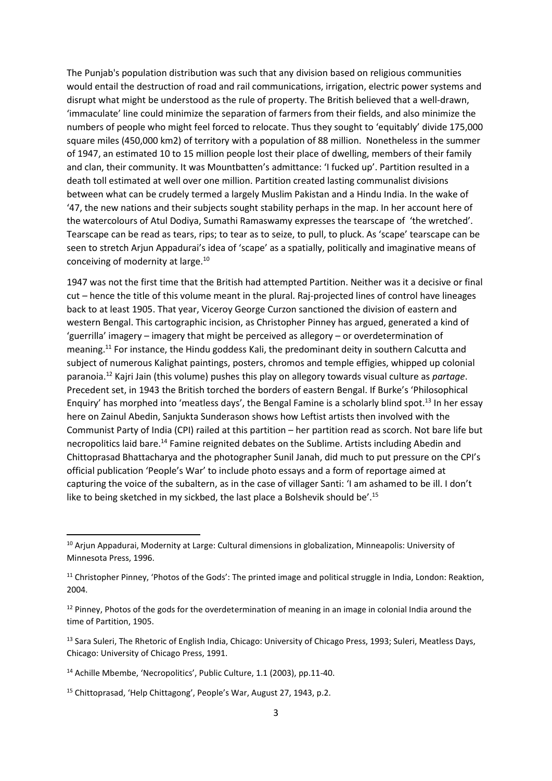The Punjab's population distribution was such that any division based on religious communities would entail the destruction of road and rail communications, irrigation, electric power systems and disrupt what might be understood as the rule of property. The British believed that a well-drawn, 'immaculate' line could minimize the separation of farmers from their fields, and also minimize the numbers of people who might feel forced to relocate. Thus they sought to 'equitably' divide 175,000 square miles (450,000 km2) of territory with a population of 88 million. Nonetheless in the summer of 1947, an estimated 10 to 15 million people lost their place of dwelling, members of their family and clan, their community. It was Mountbatten's admittance: 'I fucked up'. Partition resulted in a death toll estimated at well over one million. Partition created lasting communalist divisions between what can be crudely termed a largely Muslim Pakistan and a Hindu India. In the wake of '47, the new nations and their subjects sought stability perhaps in the map. In her account here of the watercolours of Atul Dodiya, Sumathi Ramaswamy expresses the tearscape of 'the wretched'. Tearscape can be read as tears, rips; to tear as to seize, to pull, to pluck. As 'scape' tearscape can be seen to stretch Arjun Appadurai's idea of 'scape' as a spatially, politically and imaginative means of conceiving of modernity at large.<sup>10</sup>

1947 was not the first time that the British had attempted Partition. Neither was it a decisive or final cut *–* hence the title of this volume meant in the plural. Raj-projected lines of control have lineages back to at least 1905. That year, Viceroy George Curzon sanctioned the division of eastern and western Bengal. This cartographic incision, as Christopher Pinney has argued, generated a kind of 'guerrilla' imagery – imagery that might be perceived as allegory – or overdetermination of meaning.<sup>11</sup> For instance, the Hindu goddess Kali, the predominant deity in southern Calcutta and subject of numerous Kalighat paintings, posters, chromos and temple effigies, whipped up colonial paranoia.<sup>12</sup> Kajri Jain (this volume) pushes this play on allegory towards visual culture as *partage*. Precedent set, in 1943 the British torched the borders of eastern Bengal. If Burke's 'Philosophical Enquiry' has morphed into 'meatless days', the Bengal Famine is a scholarly blind spot.<sup>13</sup> In her essay here on Zainul Abedin, Sanjukta Sunderason shows how Leftist artists then involved with the Communist Party of India (CPI) railed at this partition – her partition read as scorch. Not bare life but necropolitics laid bare.<sup>14</sup> Famine reignited debates on the Sublime. Artists including Abedin and Chittoprasad Bhattacharya and the photographer Sunil Janah, did much to put pressure on the CPI's official publication 'People's War' to include photo essays and a form of reportage aimed at capturing the voice of the subaltern, as in the case of villager Santi: 'I am ashamed to be ill. I don't like to being sketched in my sickbed, the last place a Bolshevik should be'.<sup>15</sup>

<sup>&</sup>lt;sup>10</sup> Arjun Appadurai, Modernity at Large: Cultural dimensions in globalization, Minneapolis: University of Minnesota Press, 1996.

<sup>&</sup>lt;sup>11</sup> Christopher Pinney, 'Photos of the Gods': The printed image and political struggle in India, London: Reaktion, 2004.

<sup>&</sup>lt;sup>12</sup> Pinney, Photos of the gods for the overdetermination of meaning in an image in colonial India around the time of Partition, 1905.

<sup>&</sup>lt;sup>13</sup> Sara Suleri, The Rhetoric of English India, Chicago: University of Chicago Press, 1993; Suleri, Meatless Days, Chicago: University of Chicago Press, 1991.

<sup>14</sup> Achille Mbembe, 'Necropolitics', Public Culture, 1.1 (2003), pp.11-40.

<sup>15</sup> Chittoprasad, 'Help Chittagong', People's War, August 27, 1943, p.2.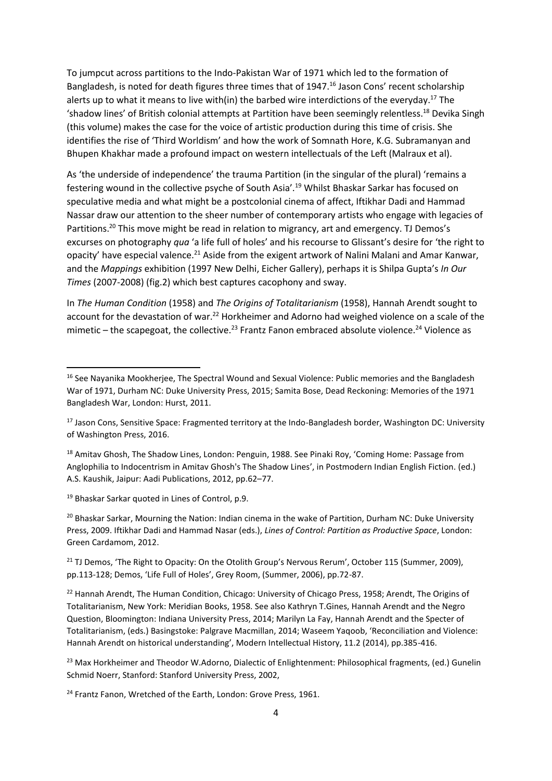To jumpcut across partitions to the Indo-Pakistan War of 1971 which led to the formation of Bangladesh, is noted for death figures three times that of 1947.<sup>16</sup> Jason Cons' recent scholarship alerts up to what it means to live with(in) the barbed wire interdictions of the everyday.<sup>17</sup> The 'shadow lines' of British colonial attempts at Partition have been seemingly relentless.<sup>18</sup> Devika Singh (this volume) makes the case for the voice of artistic production during this time of crisis. She identifies the rise of 'Third Worldism' and how the work of Somnath Hore, K.G. Subramanyan and Bhupen Khakhar made a profound impact on western intellectuals of the Left (Malraux et al).

As 'the underside of independence' the trauma Partition (in the singular of the plural) 'remains a festering wound in the collective psyche of South Asia'.<sup>19</sup> Whilst Bhaskar Sarkar has focused on speculative media and what might be a postcolonial cinema of affect, Iftikhar Dadi and Hammad Nassar draw our attention to the sheer number of contemporary artists who engage with legacies of Partitions.<sup>20</sup> This move might be read in relation to migrancy, art and emergency. TJ Demos's excurses on photography *qua* 'a life full of holes' and his recourse to Glissant's desire for 'the right to opacity' have especial valence.<sup>21</sup> Aside from the exigent artwork of Nalini Malani and Amar Kanwar, and the *Mappings* exhibition (1997 New Delhi, Eicher Gallery), perhaps it is Shilpa Gupta's *In Our Times* (2007-2008) (fig.2) which best captures cacophony and sway.

In *The Human Condition* (1958) and *The Origins of Totalitarianism* (1958), Hannah Arendt sought to account for the devastation of war.<sup>22</sup> Horkheimer and Adorno had weighed violence on a scale of the mimetic – the scapegoat, the collective.<sup>23</sup> Frantz Fanon embraced absolute violence.<sup>24</sup> Violence as

<sup>19</sup> Bhaskar Sarkar quoted in Lines of Control, p.9.

1

<sup>20</sup> Bhaskar Sarkar, Mourning the Nation: Indian cinema in the wake of Partition, Durham NC: Duke University Press, 2009. Iftikhar Dadi and Hammad Nasar (eds.), *Lines of Control: Partition as Productive Space*, London: Green Cardamom, 2012.

<sup>21</sup> TJ Demos, 'The Right to Opacity: On the Otolith Group's Nervous Rerum', October 115 (Summer, 2009), pp.113-128; Demos, 'Life Full of Holes', Grey Room, (Summer, 2006), pp.72-87.

<sup>&</sup>lt;sup>16</sup> See Nayanika Mookherjee, The Spectral Wound and Sexual Violence: Public memories and the Bangladesh War of 1971, Durham NC: Duke University Press, 2015; Samita Bose, Dead Reckoning: Memories of the 1971 Bangladesh War, London: Hurst, 2011.

<sup>&</sup>lt;sup>17</sup> Jason Cons, Sensitive Space: Fragmented territory at the Indo-Bangladesh border, Washington DC: University of Washington Press, 2016.

<sup>&</sup>lt;sup>18</sup> Amitav Ghosh, The Shadow Lines, London: Penguin, 1988. See Pinaki Roy, 'Coming Home: Passage from Anglophilia to Indocentrism in Amitav Ghosh's The Shadow Lines', in Postmodern Indian English Fiction. (ed.) A.S. Kaushik, Jaipur: Aadi Publications, 2012, pp.62–77.

<sup>&</sup>lt;sup>22</sup> Hannah Arendt, The Human Condition, Chicago: University of Chicago Press, 1958; Arendt, The Origins of Totalitarianism, New York: Meridian Books, 1958. See also Kathryn T.Gines, Hannah Arendt and the Negro Question, Bloomington: Indiana University Press, 2014; Marilyn La Fay, Hannah Arendt and the Specter of Totalitarianism, (eds.) Basingstoke: Palgrave Macmillan, 2014; Waseem Yaqoob, 'Reconciliation and Violence: Hannah Arendt on historical understanding', Modern Intellectual History, 11.2 (2014), pp.385-416.

<sup>&</sup>lt;sup>23</sup> Max Horkheimer and Theodor W.Adorno, Dialectic of Enlightenment: Philosophical fragments, (ed.) Gunelin Schmid Noerr, Stanford: Stanford University Press, 2002,

<sup>&</sup>lt;sup>24</sup> Frantz Fanon, Wretched of the Earth, London: Grove Press, 1961.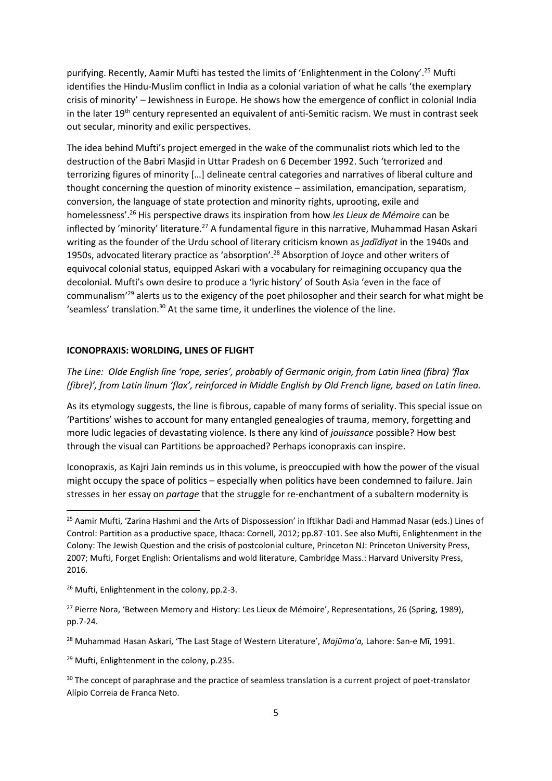purifying. Recently, Aamir Mufti has tested the limits of 'Enlightenment in the Colony'.<sup>25</sup> Mufti identifies the Hindu-Muslim conflict in India as a colonial variation of what he calls 'the exemplary crisis of minority' – Jewishness in Europe. He shows how the emergence of conflict in colonial India in the later 19<sup>th</sup> century represented an equivalent of anti-Semitic racism. We must in contrast seek out secular, minority and exilic perspectives.

The idea behind Mufti's project emerged in the wake of the communalist riots which led to the destruction of the Babri Masjid in Uttar Pradesh on 6 December 1992. Such 'terrorized and terrorizing figures of minority […] delineate central categories and narratives of liberal culture and thought concerning the question of minority existence – assimilation, emancipation, separatism, conversion, the language of state protection and minority rights, uprooting, exile and homelessness'. <sup>26</sup> His perspective draws its inspiration from how *les Lieux de Mémoire* can be inflected by 'minority' literature.<sup>27</sup> A fundamental figure in this narrative, Muhammad Hasan Askari writing as the founder of the Urdu school of literary criticism known as *jadīdīyat* in the 1940s and 1950s, advocated literary practice as 'absorption'.<sup>28</sup> Absorption of Joyce and other writers of equivocal colonial status, equipped Askari with a vocabulary for reimagining occupancy qua the decolonial. Mufti's own desire to produce a 'lyric history' of South Asia 'even in the face of communalism'<sup>29</sup> alerts us to the exigency of the poet philosopher and their search for what might be 'seamless' translation.<sup>30</sup> At the same time, it underlines the violence of the line.

#### **ICONOPRAXIS: WORLDING, LINES OF FLIGHT**

*The Line: Olde English līne 'rope, series', probably of Germanic origin, from Latin linea (fibra) 'flax (fibre)', from Latin linum 'flax', reinforced in Middle English by Old French ligne, based on Latin linea.* 

As its etymology suggests, the line is fibrous, capable of many forms of seriality. This special issue on 'Partitions' wishes to account for many entangled genealogies of trauma, memory, forgetting and more ludic legacies of devastating violence. Is there any kind of *jouissance* possible? How best through the visual can Partitions be approached? Perhaps iconopraxis can inspire.

Iconopraxis, as Kajri Jain reminds us in this volume, is preoccupied with how the power of the visual might occupy the space of politics – especially when politics have been condemned to failure. Jain stresses in her essay on *partage* that the struggle for re-enchantment of a subaltern modernity is

**.** 

<sup>29</sup> Mufti, Enlightenment in the colony, p.235.

<sup>&</sup>lt;sup>25</sup> Aamir Mufti, 'Zarina Hashmi and the Arts of Dispossession' in Iftikhar Dadi and Hammad Nasar (eds.) Lines of Control: Partition as a productive space, Ithaca: Cornell, 2012; pp.87-101. See also Mufti, Enlightenment in the Colony: The Jewish Question and the crisis of postcolonial culture, Princeton NJ: Princeton University Press, 2007; Mufti, Forget English: Orientalisms and wold literature, Cambridge Mass.: Harvard University Press, 2016.

<sup>&</sup>lt;sup>26</sup> Mufti, Enlightenment in the colony, pp.2-3.

<sup>&</sup>lt;sup>27</sup> Pierre Nora, 'Between Memory and History: Les Lieux de Mémoire', Representations, 26 (Spring, 1989), pp.7-24.

<sup>28</sup> Muhammad Hasan Askari, 'The Last Stage of Western Literature', *Majῡma'a,* Lahore: San-e Mī, 1991.

<sup>&</sup>lt;sup>30</sup> The concept of paraphrase and the practice of seamless translation is a current project of poet-translator Alípio Correia de Franca Neto.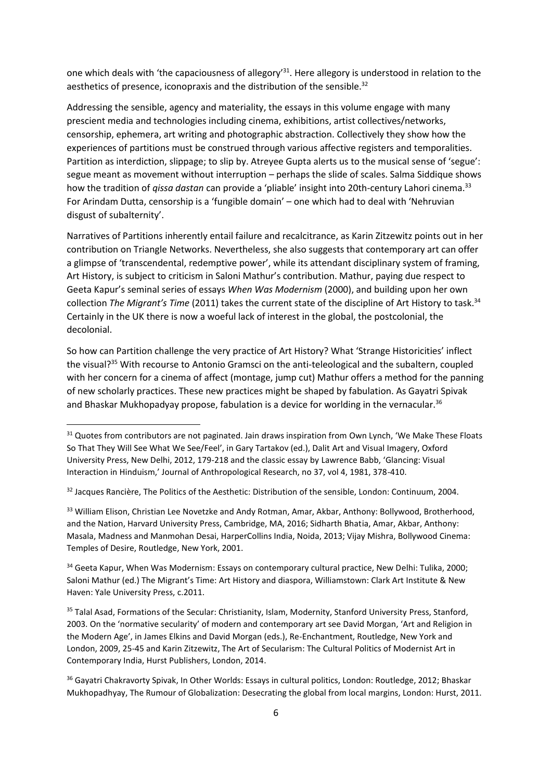one which deals with 'the capaciousness of allegory'<sup>31</sup>. Here allegory is understood in relation to the aesthetics of presence, iconopraxis and the distribution of the sensible.<sup>32</sup>

Addressing the sensible, agency and materiality, the essays in this volume engage with many prescient media and technologies including cinema, exhibitions, artist collectives/networks, censorship, ephemera, art writing and photographic abstraction. Collectively they show how the experiences of partitions must be construed through various affective registers and temporalities. Partition as interdiction, slippage; to slip by. Atreyee Gupta alerts us to the musical sense of 'segue': segue meant as movement without interruption – perhaps the slide of scales. Salma Siddique shows how the tradition of *qissa dastan* can provide a 'pliable' insight into 20th-century Lahori cinema.<sup>33</sup> For Arindam Dutta, censorship is a 'fungible domain' – one which had to deal with 'Nehruvian disgust of subalternity'.

Narratives of Partitions inherently entail failure and recalcitrance, as Karin Zitzewitz points out in her contribution on Triangle Networks. Nevertheless, she also suggests that contemporary art can offer a glimpse of 'transcendental, redemptive power', while its attendant disciplinary system of framing, Art History, is subject to criticism in Saloni Mathur's contribution. Mathur, paying due respect to Geeta Kapur's seminal series of essays *When Was Modernism* (2000), and building upon her own collection *The Migrant's Time* (2011) takes the current state of the discipline of Art History to task. 34 Certainly in the UK there is now a woeful lack of interest in the global, the postcolonial, the decolonial.

So how can Partition challenge the very practice of Art History? What 'Strange Historicities' inflect the visual?<sup>35</sup> With recourse to Antonio Gramsci on the anti-teleological and the subaltern, coupled with her concern for a cinema of affect (montage, jump cut) Mathur offers a method for the panning of new scholarly practices. These new practices might be shaped by fabulation. As Gayatri Spivak and Bhaskar Mukhopadyay propose, fabulation is a device for worlding in the vernacular.<sup>36</sup>

1

33 William Elison, Christian Lee Novetzke and Andy Rotman, Amar, Akbar, Anthony: Bollywood, Brotherhood, and the Nation, Harvard University Press, Cambridge, MA, 2016; Sidharth Bhatia, Amar, Akbar, Anthony: Masala, Madness and Manmohan Desai, HarperCollins India, Noida, 2013; Vijay Mishra, Bollywood Cinema: Temples of Desire, Routledge, New York, 2001.

<sup>34</sup> Geeta Kapur, When Was Modernism: Essays on contemporary cultural practice, New Delhi: Tulika, 2000; Saloni Mathur (ed.) The Migrant's Time: Art History and diaspora, Williamstown: Clark Art Institute & New Haven: Yale University Press, c.2011.

<sup>35</sup> Talal Asad, Formations of the Secular: Christianity, Islam, Modernity, Stanford University Press, Stanford, 2003. On the 'normative secularity' of modern and contemporary art see David Morgan, 'Art and Religion in the Modern Age', in James Elkins and David Morgan (eds.), Re-Enchantment, Routledge, New York and London, 2009, 25-45 and Karin Zitzewitz, The Art of Secularism: The Cultural Politics of Modernist Art in Contemporary India, Hurst Publishers, London, 2014.

<sup>36</sup> Gayatri Chakravorty Spivak, In Other Worlds: Essays in cultural politics, London: Routledge, 2012; Bhaskar Mukhopadhyay, The Rumour of Globalization: Desecrating the global from local margins, London: Hurst, 2011.

<sup>&</sup>lt;sup>31</sup> Quotes from contributors are not paginated. Jain draws inspiration from Own Lynch, 'We Make These Floats So That They Will See What We See/Feel', in Gary Tartakov (ed.), Dalit Art and Visual Imagery, Oxford University Press, New Delhi, 2012, 179-218 and the classic essay by Lawrence Babb, 'Glancing: Visual Interaction in Hinduism,' Journal of Anthropological Research, no 37, vol 4, 1981, 378-410.

<sup>&</sup>lt;sup>32</sup> Jacques Rancière, The Politics of the Aesthetic: Distribution of the sensible, London: Continuum, 2004.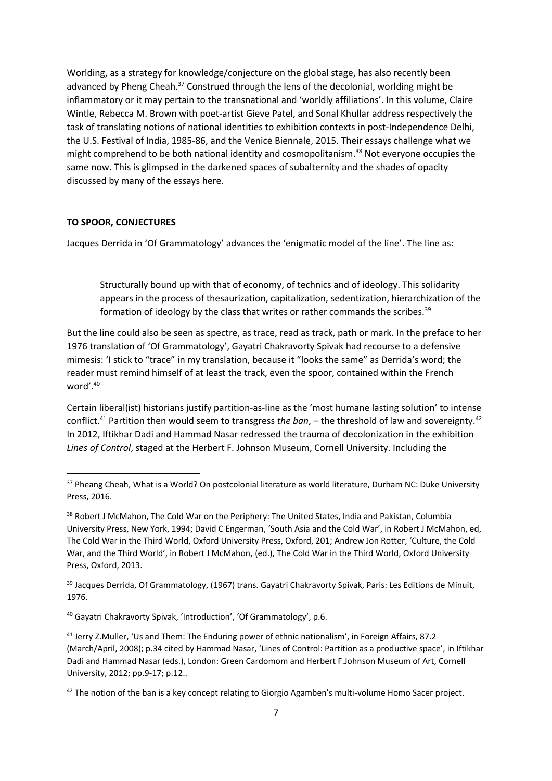Worlding, as a strategy for knowledge/conjecture on the global stage, has also recently been advanced by Pheng Cheah.<sup>37</sup> Construed through the lens of the decolonial, worlding might be inflammatory or it may pertain to the transnational and 'worldly affiliations'. In this volume, Claire Wintle, Rebecca M. Brown with poet-artist Gieve Patel, and Sonal Khullar address respectively the task of translating notions of national identities to exhibition contexts in post-Independence Delhi, the U.S. Festival of India, 1985-86, and the Venice Biennale, 2015. Their essays challenge what we might comprehend to be both national identity and cosmopolitanism. <sup>38</sup> Not everyone occupies the same now. This is glimpsed in the darkened spaces of subalternity and the shades of opacity discussed by many of the essays here.

#### **TO SPOOR, CONJECTURES**

**.** 

Jacques Derrida in 'Of Grammatology' advances the 'enigmatic model of the line'. The line as:

Structurally bound up with that of economy, of technics and of ideology. This solidarity appears in the process of thesaurization, capitalization, sedentization, hierarchization of the formation of ideology by the class that writes or rather commands the scribes.<sup>39</sup>

But the line could also be seen as spectre, as trace, read as track, path or mark. In the preface to her 1976 translation of 'Of Grammatology', Gayatri Chakravorty Spivak had recourse to a defensive mimesis: 'I stick to "trace" in my translation, because it "looks the same" as Derrida's word; the reader must remind himself of at least the track, even the spoor, contained within the French word'. 40

Certain liberal(ist) historians justify partition-as-line as the 'most humane lasting solution' to intense conflict.<sup>41</sup> Partition then would seem to transgress *the ban*, – the threshold of law and sovereignty.<sup>42</sup> In 2012, Iftikhar Dadi and Hammad Nasar redressed the trauma of decolonization in the exhibition *Lines of Control*, staged at the Herbert F. Johnson Museum, Cornell University. Including the

<sup>39</sup> Jacques Derrida, Of Grammatology, (1967) trans. Gayatri Chakravorty Spivak, Paris: Les Editions de Minuit, 1976.

<sup>40</sup> Gayatri Chakravorty Spivak, 'Introduction', 'Of Grammatology', p.6.

<sup>&</sup>lt;sup>37</sup> Pheang Cheah, What is a World? On postcolonial literature as world literature, Durham NC: Duke University Press, 2016.

<sup>38</sup> Robert J McMahon, The Cold War on the Periphery: The United States, India and Pakistan, Columbia University Press, New York, 1994; David C Engerman, 'South Asia and the Cold War', in Robert J McMahon, ed, The Cold War in the Third World, Oxford University Press, Oxford, 201; Andrew Jon Rotter, 'Culture, the Cold War, and the Third World', in Robert J McMahon, (ed.), The Cold War in the Third World, Oxford University Press, Oxford, 2013.

<sup>41</sup> Jerry Z.Muller, 'Us and Them: The Enduring power of ethnic nationalism', in Foreign Affairs, 87.2 (March/April, 2008); p.34 cited by Hammad Nasar, 'Lines of Control: Partition as a productive space', in Iftikhar Dadi and Hammad Nasar (eds.), London: Green Cardomom and Herbert F.Johnson Museum of Art, Cornell University, 2012; pp.9-17; p.12..

 $42$  The notion of the ban is a key concept relating to Giorgio Agamben's multi-volume Homo Sacer project.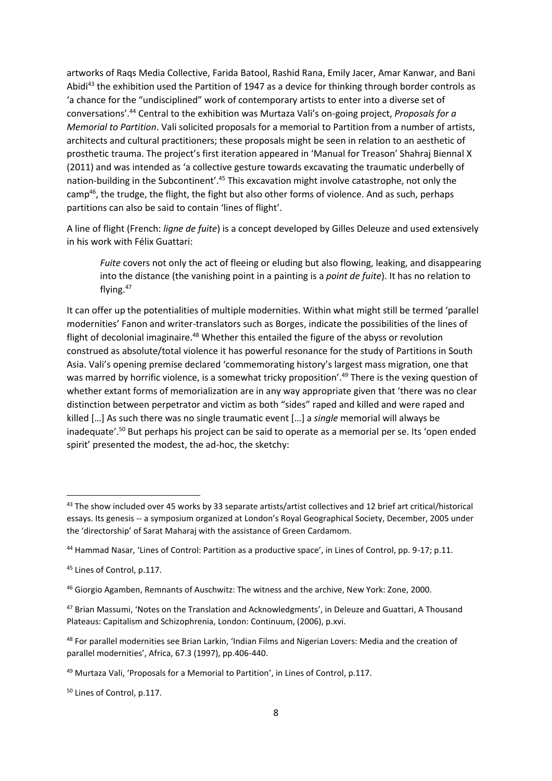artworks of Raqs Media Collective, Farida Batool, Rashid Rana, Emily Jacer, Amar Kanwar, and Bani Abidi<sup>43</sup> the exhibition used the Partition of 1947 as a device for thinking through border controls as 'a chance for the "undisciplined" work of contemporary artists to enter into a diverse set of conversations'.<sup>44</sup> Central to the exhibition was Murtaza Vali's on-going project, *Proposals for a Memorial to Partition*. Vali solicited proposals for a memorial to Partition from a number of artists, architects and cultural practitioners; these proposals might be seen in relation to an aesthetic of prosthetic trauma. The project's first iteration appeared in 'Manual for Treason' Shahraj Biennal X (2011) and was intended as 'a collective gesture towards excavating the traumatic underbelly of nation-building in the Subcontinent'.<sup>45</sup> This excavation might involve catastrophe, not only the camp<sup>46</sup>, the trudge, the flight, the fight but also other forms of violence. And as such, perhaps partitions can also be said to contain 'lines of flight'.

A line of flight (French: *ligne de fuite*) is a concept developed by Gilles Deleuze and used extensively in his work with Félix Guattari:

*Fuite* covers not only the act of fleeing or eluding but also flowing, leaking, and disappearing into the distance (the vanishing point in a painting is a *point de fuite*). It has no relation to flying.<sup>47</sup>

It can offer up the potentialities of multiple modernities. Within what might still be termed 'parallel modernities' Fanon and writer-translators such as Borges, indicate the possibilities of the lines of flight of decolonial imaginaire.<sup>48</sup> Whether this entailed the figure of the abyss or revolution construed as absolute/total violence it has powerful resonance for the study of Partitions in South Asia. Vali's opening premise declared 'commemorating history's largest mass migration, one that was marred by horrific violence, is a somewhat tricky proposition'.<sup>49</sup> There is the vexing question of whether extant forms of memorialization are in any way appropriate given that 'there was no clear distinction between perpetrator and victim as both "sides" raped and killed and were raped and killed […] As such there was no single traumatic event […] a *single* memorial will always be inadequate'.<sup>50</sup> But perhaps his project can be said to operate as a memorial per se. Its 'open ended spirit' presented the modest, the ad-hoc, the sketchy:

<sup>43</sup> The show included over 45 works by 33 separate artists/artist collectives and 12 brief art critical/historical essays. Its genesis -- a symposium organized at London's Royal Geographical Society, December, 2005 under the 'directorship' of Sarat Maharaj with the assistance of Green Cardamom.

<sup>44</sup> Hammad Nasar, 'Lines of Control: Partition as a productive space', in Lines of Control, pp. 9-17; p.11.

<sup>45</sup> Lines of Control, p.117.

<sup>46</sup> Giorgio Agamben, Remnants of Auschwitz: The witness and the archive, New York: Zone, 2000.

<sup>47</sup> Brian Massumi, 'Notes on the Translation and Acknowledgments', in Deleuze and Guattari, A Thousand Plateaus: Capitalism and Schizophrenia, London: Continuum, (2006), p.xvi.

<sup>48</sup> For parallel modernities see Brian Larkin, 'Indian Films and Nigerian Lovers: Media and the creation of parallel modernities', Africa, 67.3 (1997), pp.406-440.

<sup>49</sup> Murtaza Vali, 'Proposals for a Memorial to Partition', in Lines of Control, p.117.

<sup>50</sup> Lines of Control, p.117.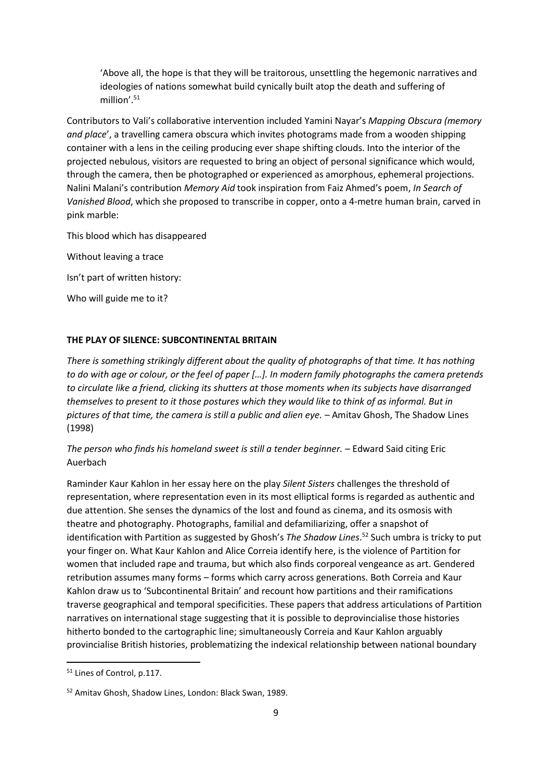'Above all, the hope is that they will be traitorous, unsettling the hegemonic narratives and ideologies of nations somewhat build cynically built atop the death and suffering of million'.<sup>51</sup>

Contributors to Vali's collaborative intervention included Yamini Nayar's *Mapping Obscura (memory and place*', a travelling camera obscura which invites photograms made from a wooden shipping container with a lens in the ceiling producing ever shape shifting clouds. Into the interior of the projected nebulous, visitors are requested to bring an object of personal significance which would, through the camera, then be photographed or experienced as amorphous, ephemeral projections. Nalini Malani's contribution *Memory Aid* took inspiration from Faiz Ahmed's poem, *In Search of Vanished Blood*, which she proposed to transcribe in copper, onto a 4-metre human brain, carved in pink marble:

This blood which has disappeared

Without leaving a trace

Isn't part of written history:

Who will guide me to it?

#### **THE PLAY OF SILENCE: SUBCONTINENTAL BRITAIN**

*There is something strikingly different about the quality of photographs of that time. It has nothing to do with age or colour, or the feel of paper […]. In modern family photographs the camera pretends to circulate like a friend, clicking its shutters at those moments when its subjects have disarranged themselves to present to it those postures which they would like to think of as informal. But in pictures of that time, the camera is still a public and alien eye.* – Amitav Ghosh, The Shadow Lines (1998)

### *The person who finds his homeland sweet is still a tender beginner. –* Edward Said citing Eric Auerbach

Raminder Kaur Kahlon in her essay here on the play *Silent Sisters* challenges the threshold of representation, where representation even in its most elliptical forms is regarded as authentic and due attention. She senses the dynamics of the lost and found as cinema, and its osmosis with theatre and photography. Photographs, familial and defamiliarizing, offer a snapshot of identification with Partition as suggested by Ghosh's *The Shadow Lines*. <sup>52</sup> Such umbra is tricky to put your finger on. What Kaur Kahlon and Alice Correia identify here, is the violence of Partition for women that included rape and trauma, but which also finds corporeal vengeance as art. Gendered retribution assumes many forms – forms which carry across generations. Both Correia and Kaur Kahlon draw us to 'Subcontinental Britain' and recount how partitions and their ramifications traverse geographical and temporal specificities. These papers that address articulations of Partition narratives on international stage suggesting that it is possible to deprovincialise those histories hitherto bonded to the cartographic line; simultaneously Correia and Kaur Kahlon arguably provincialise British histories, problematizing the indexical relationship between national boundary

<sup>51</sup> Lines of Control, p.117.

<sup>52</sup> Amitav Ghosh, Shadow Lines, London: Black Swan, 1989.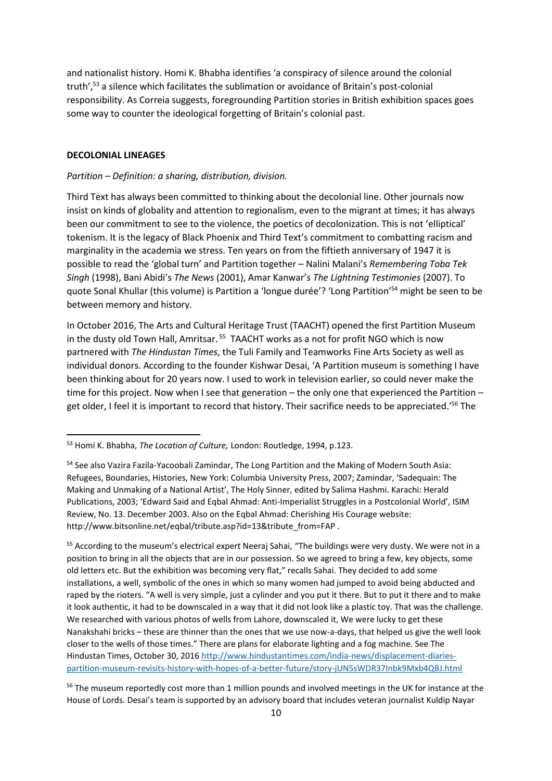and nationalist history. Homi K. Bhabha identifies 'a conspiracy of silence around the colonial truth',<sup>53</sup> a silence which facilitates the sublimation or avoidance of Britain's post-colonial responsibility. As Correia suggests, foregrounding Partition stories in British exhibition spaces goes some way to counter the ideological forgetting of Britain's colonial past.

#### **DECOLONIAL LINEAGES**

1

#### *Partition – Definition: a sharing, distribution, division.*

Third Text has always been committed to thinking about the decolonial line. Other journals now insist on kinds of globality and attention to regionalism, even to the migrant at times; it has always been our commitment to see to the violence, the poetics of decolonization. This is not 'elliptical' tokenism. It is the legacy of Black Phoenix and Third Text's commitment to combatting racism and marginality in the academia we stress. Ten years on from the fiftieth anniversary of 1947 it is possible to read the 'global turn' and Partition together *–* Nalini Malani's *Remembering Toba Tek Singh* (1998), Bani Abidi's *The News* (2001), Amar Kanwar's *The Lightning Testimonies* (2007). To quote Sonal Khullar (this volume) is Partition a 'longue durée'? 'Long Partition' <sup>54</sup> might be seen to be between memory and history.

In October 2016, The Arts and Cultural Heritage Trust (TAACHT) opened the first Partition Museum in the dusty old Town Hall, Amritsar.<sup>55</sup> TAACHT works as a not for profit NGO which is now partnered with *The Hindustan Times*, the Tuli Family and Teamworks Fine Arts Society as well as individual donors. According to the founder Kishwar Desai, 'A Partition museum is something I have been thinking about for 20 years now. I used to work in television earlier, so could never make the time for this project. Now when I see that generation *–* the only one that experienced the Partition *–* get older, I feel it is important to record that history. Their sacrifice needs to be appreciated.'<sup>56</sup> The

<sup>53</sup> Homi K. Bhabha, *The Location of Culture,* London: Routledge, 1994, p.123.

<sup>54</sup> See also Vazira Fazila-Yacoobali Zamindar, The Long Partition and the Making of Modern South Asia: Refugees, Boundaries, Histories, New York: Columbia University Press, 2007; Zamindar, 'Sadequain: The Making and Unmaking of a National Artist', The Holy Sinner, edited by Salima Hashmi. Karachi: Herald Publications, 2003; 'Edward Said and Eqbal Ahmad: Anti-Imperialist Struggles in a Postcolonial World', ISIM Review, No. 13. December 2003. Also on the Eqbal Ahmad: Cherishing His Courage website: http://www.bitsonline.net/eqbal/tribute.asp?id=13&tribute\_from=FAP .

<sup>&</sup>lt;sup>55</sup> According to the museum's electrical expert Neeraj Sahai, "The buildings were very dusty. We were not in a position to bring in all the objects that are in our possession. So we agreed to bring a few, key objects, some old letters etc. But the exhibition was becoming very flat," recalls Sahai. They decided to add some installations, a well, symbolic of the ones in which so many women had jumped to avoid being abducted and raped by the rioters. "A well is very simple, just a cylinder and you put it there. But to put it there and to make it look authentic, it had to be downscaled in a way that it did not look like a plastic toy. That was the challenge. We researched with various photos of wells from Lahore, downscaled it, We were lucky to get these Nanakshahi bricks – these are thinner than the ones that we use now-a-days, that helped us give the well look closer to the wells of those times." There are plans for elaborate lighting and a fog machine. See The Hindustan Times, October 30, 201[6 http://www.hindustantimes.com/india-news/displacement-diaries](http://www.hindustantimes.com/india-news/displacement-diaries-partition-museum-revisits-history-with-hopes-of-a-better-future/story-jUN5sWDR37Inbk9Mxb4QBJ.html)[partition-museum-revisits-history-with-hopes-of-a-better-future/story-jUN5sWDR37Inbk9Mxb4QBJ.html](http://www.hindustantimes.com/india-news/displacement-diaries-partition-museum-revisits-history-with-hopes-of-a-better-future/story-jUN5sWDR37Inbk9Mxb4QBJ.html)

<sup>&</sup>lt;sup>56</sup> The museum reportedly cost more than 1 million pounds and involved meetings in the UK for instance at the House of Lords. Desai's team is supported by an advisory board that includes veteran journalist Kuldip Nayar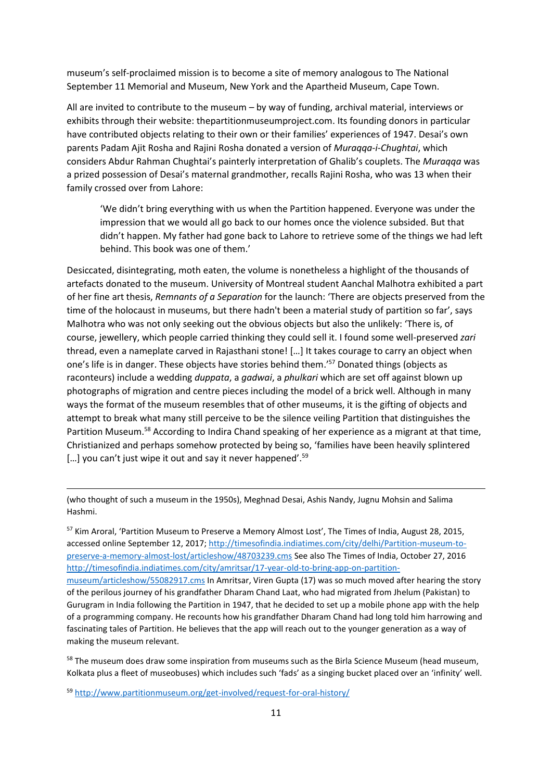museum's self-proclaimed mission is to become a site of memory analogous to The National September 11 Memorial and Museum, New York and the Apartheid Museum, Cape Town.

All are invited to contribute to the museum *–* by way of funding, archival material, interviews or exhibits through their website: thepartitionmuseumproject.com. Its founding donors in particular have contributed objects relating to their own or their families' experiences of 1947. Desai's own parents Padam Ajit Rosha and Rajini Rosha donated a version of *Muraqqa-i-Chughtai*, which considers Abdur Rahman Chughtai's painterly interpretation of Ghalib's couplets. The *Muraqqa* was a prized possession of Desai's maternal grandmother, recalls Rajini Rosha, who was 13 when their family crossed over from Lahore:

'We didn't bring everything with us when the Partition happened. Everyone was under the impression that we would all go back to our homes once the violence subsided. But that didn't happen. My father had gone back to Lahore to retrieve some of the things we had left behind. This book was one of them.'

Desiccated, disintegrating, moth eaten, the volume is nonetheless a highlight of the thousands of artefacts donated to the museum. University of Montreal student Aanchal Malhotra exhibited a part of her fine art thesis, *Remnants of a Separation* for the launch: 'There are objects preserved from the time of the holocaust in museums, but there hadn't been a material study of partition so far', says Malhotra who was not only seeking out the obvious objects but also the unlikely: 'There is, of course, jewellery, which people carried thinking they could sell it. I found some well-preserved *zari* thread, even a nameplate carved in Rajasthani stone! […] It takes courage to carry an object when one's life is in danger. These objects have stories behind them.'<sup>57</sup> Donated things (objects as raconteurs) include a wedding *duppata*, a *gadwai*, a *phulkari* which are set off against blown up photographs of migration and centre pieces including the model of a brick well. Although in many ways the format of the museum resembles that of other museums, it is the gifting of objects and attempt to break what many still perceive to be the silence veiling Partition that distinguishes the Partition Museum.<sup>58</sup> According to Indira Chand speaking of her experience as a migrant at that time, Christianized and perhaps somehow protected by being so, 'families have been heavily splintered [...] you can't just wipe it out and say it never happened'.<sup>59</sup>

(who thought of such a museum in the 1950s), Meghnad Desai, Ashis Nandy, Jugnu Mohsin and Salima Hashmi.

<sup>57</sup> Kim Aroral, 'Partition Museum to Preserve a Memory Almost Lost', The Times of India, August 28, 2015, accessed online September 12, 2017; [http://timesofindia.indiatimes.com/city/delhi/Partition-museum-to](http://timesofindia.indiatimes.com/city/delhi/Partition-museum-to-preserve-a-memory-almost-lost/articleshow/48703239.cms)[preserve-a-memory-almost-lost/articleshow/48703239.cms](http://timesofindia.indiatimes.com/city/delhi/Partition-museum-to-preserve-a-memory-almost-lost/articleshow/48703239.cms) See also The Times of India, October 27, 2016 [http://timesofindia.indiatimes.com/city/amritsar/17-year-old-to-bring-app-on-partition](http://timesofindia.indiatimes.com/city/amritsar/17-year-old-to-bring-app-on-partition-museum/articleshow/55082917.cms)[museum/articleshow/55082917.cms](http://timesofindia.indiatimes.com/city/amritsar/17-year-old-to-bring-app-on-partition-museum/articleshow/55082917.cms) In Amritsar, Viren Gupta (17) was so much moved after hearing the story of the perilous journey of his grandfather Dharam Chand Laat, who had migrated from Jhelum (Pakistan) to Gurugram in India following the Partition in 1947, that he decided to set up a mobile phone app with the help of a programming company. He recounts how his grandfather Dharam Chand had long told him harrowing and fascinating tales of Partition. He believes that the app will reach out to the younger generation as a way of making the museum relevant.

<sup>58</sup> The museum does draw some inspiration from museums such as the Birla Science Museum (head museum, Kolkata plus a fleet of museobuses) which includes such 'fads' as a singing bucket placed over an 'infinity' well.

<sup>59</sup> <http://www.partitionmuseum.org/get-involved/request-for-oral-history/>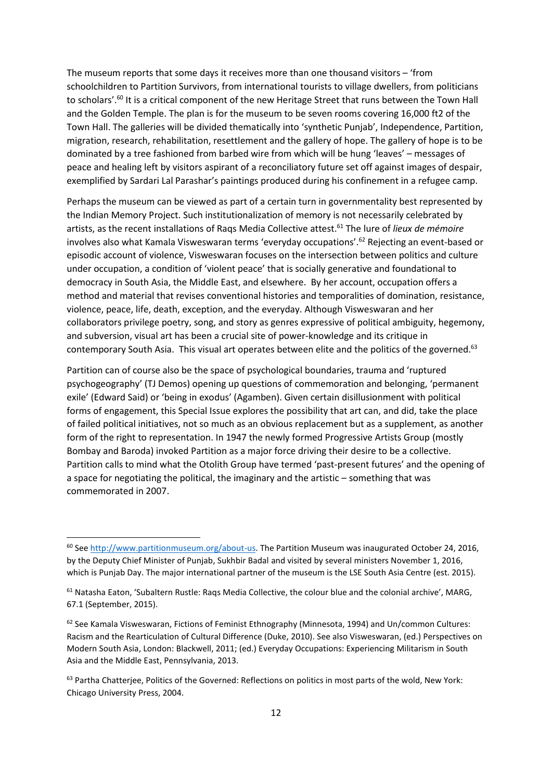The museum reports that some days it receives more than one thousand visitors – 'from schoolchildren to Partition Survivors, from international tourists to village dwellers, from politicians to scholars'.<sup>60</sup> It is a critical component of the new Heritage Street that runs between the Town Hall and the Golden Temple. The plan is for the museum to be seven rooms covering 16,000 ft2 of the Town Hall. The galleries will be divided thematically into 'synthetic Punjab', Independence, Partition, migration, research, rehabilitation, resettlement and the gallery of hope. The gallery of hope is to be dominated by a tree fashioned from barbed wire from which will be hung 'leaves' *–* messages of peace and healing left by visitors aspirant of a reconciliatory future set off against images of despair, exemplified by Sardari Lal Parashar's paintings produced during his confinement in a refugee camp.

Perhaps the museum can be viewed as part of a certain turn in governmentality best represented by the Indian Memory Project. Such institutionalization of memory is not necessarily celebrated by artists, as the recent installations of Raqs Media Collective attest.<sup>61</sup> The lure of *lieux de mémoire* involves also what Kamala Visweswaran terms 'everyday occupations'. <sup>62</sup> Rejecting an event-based or episodic account of violence, Visweswaran focuses on the intersection between politics and culture under occupation, a condition of 'violent peace' that is socially generative and foundational to democracy in South Asia, the Middle East, and elsewhere. By her account, occupation offers a method and material that revises conventional histories and temporalities of domination, resistance, violence, peace, life, death, exception, and the everyday. Although Visweswaran and her collaborators privilege poetry, song, and story as genres expressive of political ambiguity, hegemony, and subversion, visual art has been a crucial site of power-knowledge and its critique in contemporary South Asia. This visual art operates between elite and the politics of the governed.<sup>63</sup>

Partition can of course also be the space of psychological boundaries, trauma and 'ruptured psychogeography' (TJ Demos) opening up questions of commemoration and belonging, 'permanent exile' (Edward Said) or 'being in exodus' (Agamben). Given certain disillusionment with political forms of engagement, this Special Issue explores the possibility that art can, and did, take the place of failed political initiatives, not so much as an obvious replacement but as a supplement, as another form of the right to representation. In 1947 the newly formed Progressive Artists Group (mostly Bombay and Baroda) invoked Partition as a major force driving their desire to be a collective. Partition calls to mind what the Otolith Group have termed 'past-present futures' and the opening of a space for negotiating the political, the imaginary and the artistic – something that was commemorated in 2007.

 $\overline{a}$ 

<sup>&</sup>lt;sup>60</sup> Se[e http://www.partitionmuseum.org/about-us.](http://www.partitionmuseum.org/about-us) The Partition Museum was inaugurated October 24, 2016, by the Deputy Chief Minister of Punjab, Sukhbir Badal and visited by several ministers November 1, 2016, which is Punjab Day. The major international partner of the museum is the LSE South Asia Centre (est. 2015).

<sup>61</sup> Natasha Eaton, 'Subaltern Rustle: Raqs Media Collective, the colour blue and the colonial archive', MARG, 67.1 (September, 2015).

 $62$  See Kamala Visweswaran, Fictions of Feminist Ethnography (Minnesota, 1994) and Un/common Cultures: Racism and the Rearticulation of Cultural Difference (Duke, 2010). See also Visweswaran, (ed.) Perspectives on Modern South Asia, London: Blackwell, 2011; (ed.) Everyday Occupations: Experiencing Militarism in South Asia and the Middle East, Pennsylvania, 2013.

<sup>&</sup>lt;sup>63</sup> Partha Chatterjee, Politics of the Governed: Reflections on politics in most parts of the wold, New York: Chicago University Press, 2004.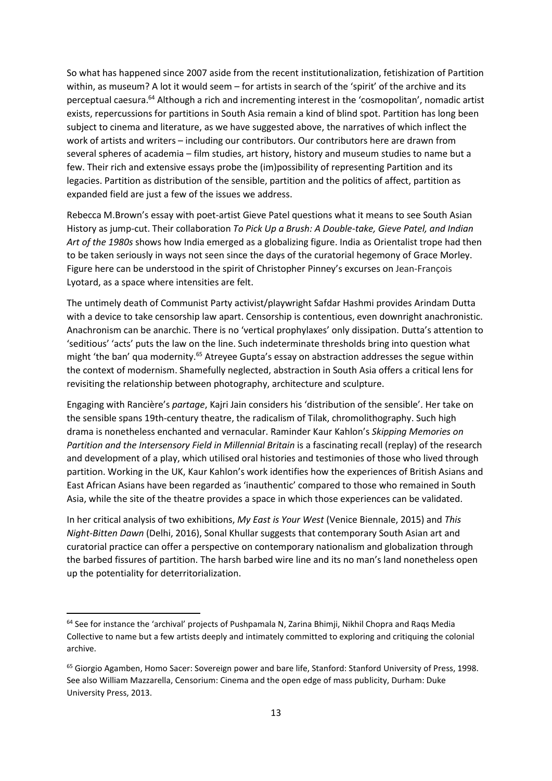So what has happened since 2007 aside from the recent institutionalization, fetishization of Partition within, as museum? A lot it would seem – for artists in search of the 'spirit' of the archive and its perceptual caesura. <sup>64</sup> Although a rich and incrementing interest in the 'cosmopolitan', nomadic artist exists, repercussions for partitions in South Asia remain a kind of blind spot. Partition has long been subject to cinema and literature, as we have suggested above, the narratives of which inflect the work of artists and writers – including our contributors. Our contributors here are drawn from several spheres of academia – film studies, art history, history and museum studies to name but a few. Their rich and extensive essays probe the (im)possibility of representing Partition and its legacies. Partition as distribution of the sensible, partition and the politics of affect, partition as expanded field are just a few of the issues we address.

Rebecca M.Brown's essay with poet-artist Gieve Patel questions what it means to see South Asian History as jump-cut. Their collaboration *To Pick Up a Brush: A Double-take, Gieve Patel, and Indian Art of the 1980s* shows how India emerged as a globalizing figure. India as Orientalist trope had then to be taken seriously in ways not seen since the days of the curatorial hegemony of Grace Morley. Figure here can be understood in the spirit of Christopher Pinney's excurses on Jean-François Lyotard, as a space where intensities are felt.

The untimely death of Communist Party activist/playwright Safdar Hashmi provides Arindam Dutta with a device to take censorship law apart. Censorship is contentious, even downright anachronistic. Anachronism can be anarchic. There is no 'vertical prophylaxes' only dissipation. Dutta's attention to 'seditious' 'acts' puts the law on the line. Such indeterminate thresholds bring into question what might 'the ban' qua modernity.<sup>65</sup> Atreyee Gupta's essay on abstraction addresses the segue within the context of modernism. Shamefully neglected, abstraction in South Asia offers a critical lens for revisiting the relationship between photography, architecture and sculpture.

Engaging with Rancière's *partage*, Kajri Jain considers his 'distribution of the sensible'. Her take on the sensible spans 19th-century theatre, the radicalism of Tilak, chromolithography. Such high drama is nonetheless enchanted and vernacular. Raminder Kaur Kahlon's *Skipping Memories on Partition and the Intersensory Field in Millennial Britain* is a fascinating recall (replay) of the research and development of a play, which utilised oral histories and testimonies of those who lived through partition. Working in the UK, Kaur Kahlon's work identifies how the experiences of British Asians and East African Asians have been regarded as 'inauthentic' compared to those who remained in South Asia, while the site of the theatre provides a space in which those experiences can be validated.

In her critical analysis of two exhibitions, *My East is Your West* (Venice Biennale, 2015) and *This Night-Bitten Dawn* (Delhi, 2016), Sonal Khullar suggests that contemporary South Asian art and curatorial practice can offer a perspective on contemporary nationalism and globalization through the barbed fissures of partition. The harsh barbed wire line and its no man's land nonetheless open up the potentiality for deterritorialization.

<sup>&</sup>lt;sup>64</sup> See for instance the 'archival' projects of Pushpamala N, Zarina Bhimji, Nikhil Chopra and Raqs Media Collective to name but a few artists deeply and intimately committed to exploring and critiquing the colonial archive.

<sup>&</sup>lt;sup>65</sup> Giorgio Agamben, Homo Sacer: Sovereign power and bare life, Stanford: Stanford University of Press, 1998. See also William Mazzarella, Censorium: Cinema and the open edge of mass publicity, Durham: Duke University Press, 2013.